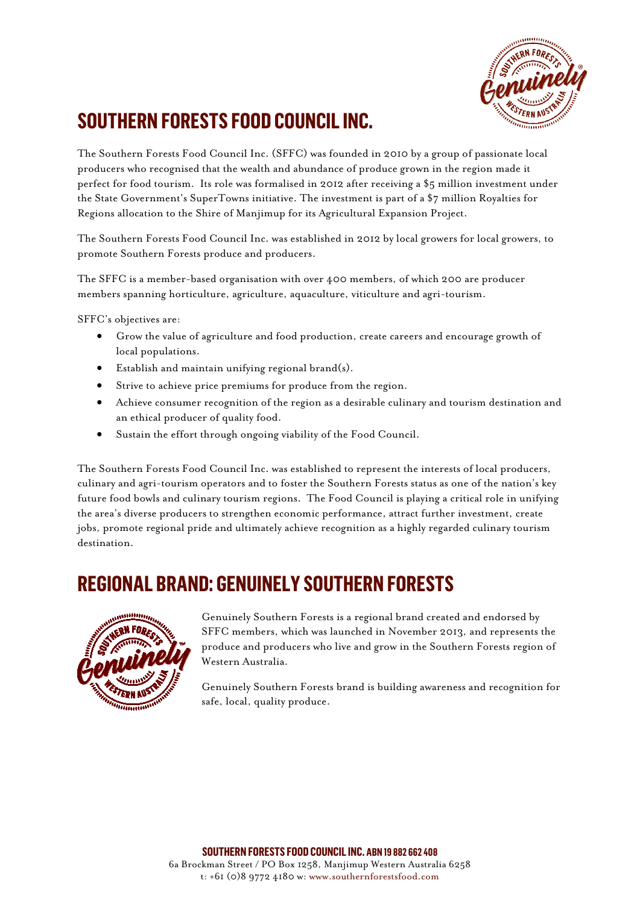

# **SOUTHERN FORESTS FOOD COUNCIL INC.**

The Southern Forests Food Council Inc. (SFFC) was founded in 2010 by a group of passionate local producers who recognised that the wealth and abundance of produce grown in the region made it perfect for food tourism. Its role was formalised in 2012 after receiving a \$5 million investment under the State Government's SuperTowns initiative. The investment is part of a \$7 million Royalties for Regions allocation to the Shire of Manjimup for its Agricultural Expansion Project.

The Southern Forests Food Council Inc. was established in 2012 by local growers for local growers, to promote Southern Forests produce and producers.

The SFFC is a member-based organisation with over 400 members, of which 200 are producer members spanning horticulture, agriculture, aquaculture, viticulture and agri-tourism.

SFFC's objectives are:

- Grow the value of agriculture and food production, create careers and encourage growth of local populations.
- Establish and maintain unifying regional brand(s).
- Strive to achieve price premiums for produce from the region.
- Achieve consumer recognition of the region as a desirable culinary and tourism destination and an ethical producer of quality food.
- Sustain the effort through ongoing viability of the Food Council.

The Southern Forests Food Council Inc. was established to represent the interests of local producers, culinary and agri-tourism operators and to foster the Southern Forests status as one of the nation's key future food bowls and culinary tourism regions. The Food Council is playing a critical role in unifying the area's diverse producers to strengthen economic performance, attract further investment, create jobs, promote regional pride and ultimately achieve recognition as a highly regarded culinary tourism destination.

### **REGIONAL BRAND: GENUINELY SOUTHERN FORESTS**



Genuinely Southern Forests is a regional brand created and endorsed by SFFC members, which was launched in November 2013, and represents the produce and producers who live and grow in the Southern Forests region of Western Australia.

Genuinely Southern Forests brand is building awareness and recognition for safe, local, quality produce.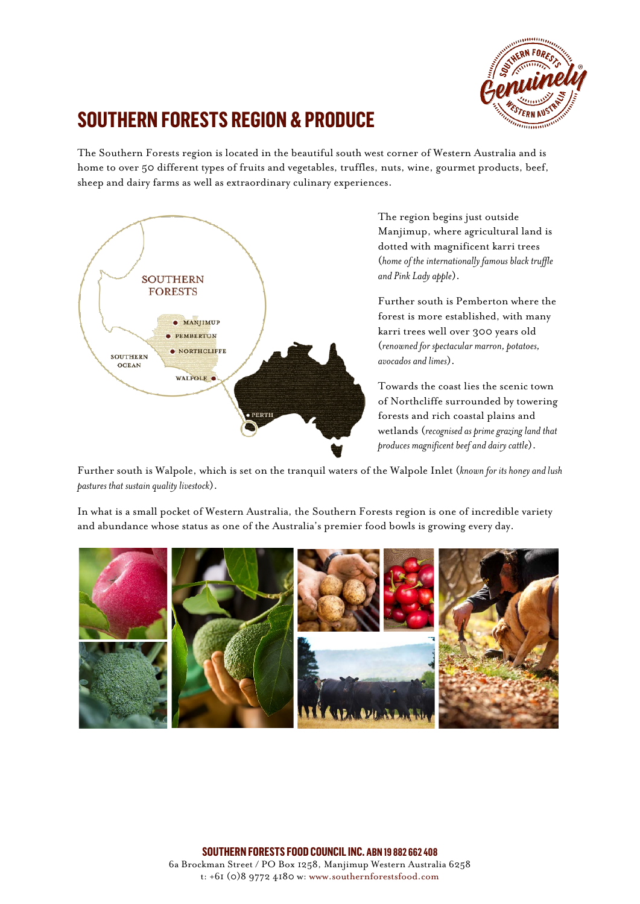

### **SOUTHERN FORESTS REGION & PRODUCE**

The Southern Forests region is located in the beautiful south west corner of Western Australia and is home to over 50 different types of fruits and vegetables, truffles, nuts, wine, gourmet products, beef, sheep and dairy farms as well as extraordinary culinary experiences.



The region begins just outside Manjimup, where agricultural land is dotted with magnificent karri trees (*home of the internationally famous black truffle and Pink Lady apple*).

Further south is Pemberton where the forest is more established, with many karri trees well over 300 years old (*renowned for spectacular marron, potatoes, avocados and limes*).

Towards the coast lies the scenic town of Northcliffe surrounded by towering forests and rich coastal plains and wetlands (*recognised as prime grazing land that produces magnificent beef and dairy cattle*).

Further south is Walpole, which is set on the tranquil waters of the Walpole Inlet (*known for its honey and lush pastures that sustain quality livestock*).

In what is a small pocket of Western Australia, the Southern Forests region is one of incredible variety and abundance whose status as one of the Australia's premier food bowls is growing every day.



**SOUTHERN FORESTS FOOD COUNCIL INC. ABN 19 882 662 408** 6a Brockman Street / PO Box 1258, Manjimup Western Australia 6258 t: +61 (0)8 9772 4180 w: www.southernforestsfood.com